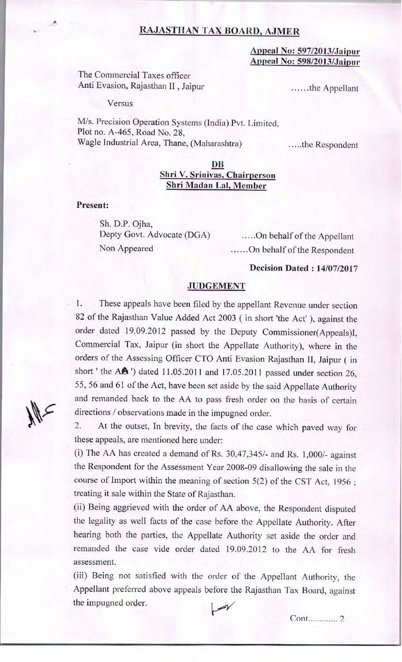# **RAJASTHAN TAX BOARD, AJMER**

#### **Appeal No: 597/2013/Jaipur Appeal No: 598/2013/Jaipur**

The Commercial Taxes officer Anti Evasion, Rajasthan II, Jaipur ......the Appellant

Versus

M/s. Precision Operation Systems (India) Pvt. Limited, Plot no. *A-465,* Road No. 28, Wagle Industrial Area, Thane, (Maharashtra) ......the Respondent

### **i)B Shri V. Srinivas, Chairperson Shri Madan Lal, Member**

**Present:** 

Sh. D.P. Ojha, Depty Govt. Advocate (DGA) ......On behalf of the Appellant

Non Appeared Mondon Communication Communication Communication Communication Communication Communication Communication Communication Communication Communication Communication Communication Communication Communication Commun

## **Decision Dated : 14/07/2017**

#### **JUDGEMENT**

1. These appeals have been filed by the appellant Revenue under section 82 of the Rajasthan Value Added Act 2003 (in short 'the Act' ), against the order dated 19.09.2012 passed by the Deputy Commissioner(Appeals)l, Commercial Tax, Jaipur (in short the Appellate Authority), where in the orders of the Assessing Officer CTO Anti Evasion Rajasthan Ii, Jaipur (in short ' the AA' ) dated 11.05.2011 and 17.05.2011 passed under section 26, *55, 56* and 61 of the Act, have been set aside by the said Appellate Authority and remanded back to the AA to pass fresh order on the basis of certain directions / observations made in the impugned order.

2. At the outset, In brevity, the facts of the case which paved way for these appeals, are mentioned here under:

(i) The AA has created a demand of Rs. 30,47,345/- and Rs. 1,000/- against the Respondent for the Assessment Year 2008-09 disallowing the sale in the course of Import within the meaning of section *5(2)* of the CST Act, 1956 treating it sale within the State of Rajasthan.

(ii) Being aggrieved with the order of AA above, the Respondent disputed the legality as well facts of the case before the Appellate Authority. After hearing both the parties, the Appellate Authority set aside the order and remanded the case vide order dated 19.09.2012 to the AA for fresh assessment.

(iii) Being not satisfied with the order of the Appellant Authority, the Appellant preferred above appeals before the Rajasthan Tax Board, against the impugned order.

*k---y"* 

cont ............. *2*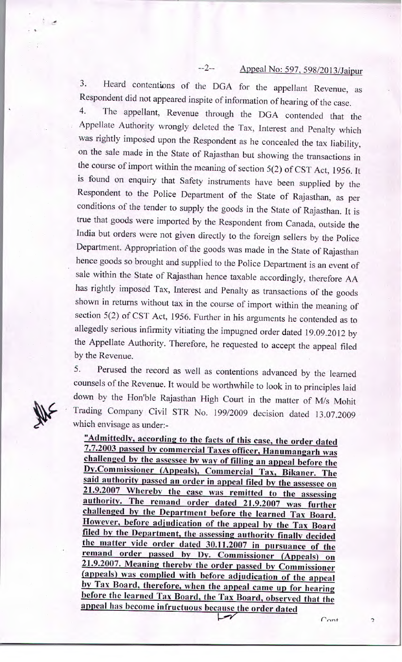# --2-- Appeal No: *597,* 598/2013/Jaipur

3. Heard contentions of the DGA for the appellant Revenue, as Respondent did not appeared inspite of information of hearing of the case.

4. The appellant, Revenue through the DGA contended that the Appellate Authority wrongly deleted the Tax, interest and Penalty which was rightly imposed upon the Respondent as he concealed the tax liability, on the sale made in the State of Rajasthan but showing the transactions in the course of import within the meaning of section *5(2)* of CST Act, 1956. It is found on enquiry that Safety instruments have been supplied by the Respondent to the Police Department of the State of Rajasthan, as per conditions of the tender to supply the goods in the State of Rajasthan. It is true that goods were imported by the Respondent from Canada, outside the India but orders were not given directly to the foreign sellers by the Police Department. Appropriation of the goods was made in the State of Rajasthan hence goods so brought and supplied to the Police Department is an event of sale within the State of Rajasthan hence taxable accordingly, therefore AA has rightly imposed Tax, Interest and Penalty as transactions of the goods shown in returns without tax in the course of import within the meaning of section 5(2) of CST Act, *1956.* Further in his arguments he contended as to allegedly serious infirmity vitiating the impugned order dated 19.09.2012 by the Appellate Authority. Therefore, he requested to accept the appeal filed *by* the Revenue.

5. Perused the record as well as contentions advanced by the learned counsels of the Revenue. It would be worthwhile to look in to principles laid down by the Hon'ble Rajasthan High Court in the matter of M/s Mohit Trading Company Civil STR No. 199/2009 decision dated 13.07.2009 which envisage as under:-

**"Admittedly, according to the facts of this case, the order dated 7.7.2003 passed by commercial Taxes officer, Hanumangarh was challenged by the assessee by way of fifing an appeal before the**  Dy.Commissioner (Appeals), Commercial Tax, Bikaner. The **said authority passed an order in appeal filed by the assessee on 21.9.2007 Whereby the case was remitted to the assessing authority. The remand order dated 21.9.2007 was further challenged by the Department before the learned Tax Board. However, before adjudication of the appeal by the Tax Board filed by the Department, the assessing authority finally decided the matter vide order dated 30.11.2007 in pursuance of the**  remand order passed by Dy. Commissioner (Appeals) on **21.9.2007. Meaning thereby the order passed by Commissioner (appeals) was complied with before adjudication of the appeal by Tax Board, therefore, when the appeal came up for hearing before the learned Tax Board, the Tax Board, observed that the**  appeal has become infructuous because the order dated

v

 $C_{\Omega}$ 

 $\overline{a}$